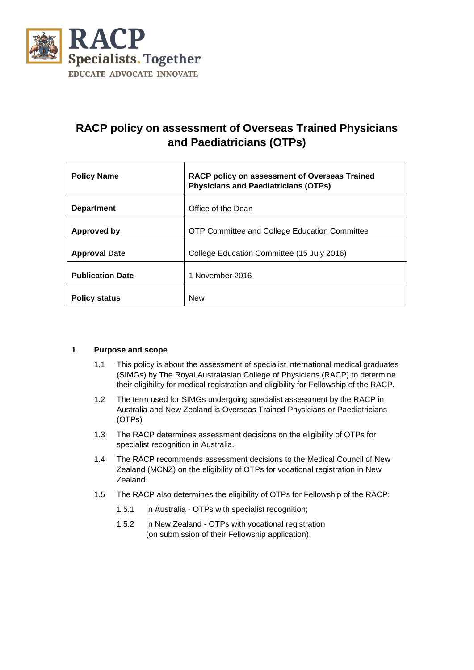

# **RACP policy on assessment of Overseas Trained Physicians and Paediatricians (OTPs)**

| <b>Policy Name</b>      | RACP policy on assessment of Overseas Trained<br><b>Physicians and Paediatricians (OTPs)</b> |
|-------------------------|----------------------------------------------------------------------------------------------|
| <b>Department</b>       | Office of the Dean                                                                           |
| Approved by             | <b>OTP Committee and College Education Committee</b>                                         |
| <b>Approval Date</b>    | College Education Committee (15 July 2016)                                                   |
| <b>Publication Date</b> | 1 November 2016                                                                              |
| <b>Policy status</b>    | <b>New</b>                                                                                   |

#### **1 Purpose and scope**

- 1.1 This policy is about the assessment of specialist international medical graduates (SIMGs) by The Royal Australasian College of Physicians (RACP) to determine their eligibility for medical registration and eligibility for Fellowship of the RACP.
- 1.2 The term used for SIMGs undergoing specialist assessment by the RACP in Australia and New Zealand is Overseas Trained Physicians or Paediatricians (OTPs)
- 1.3 The RACP determines assessment decisions on the eligibility of OTPs for specialist recognition in Australia.
- 1.4 The RACP recommends assessment decisions to the Medical Council of New Zealand (MCNZ) on the eligibility of OTPs for vocational registration in New Zealand.
- 1.5 The RACP also determines the eligibility of OTPs for Fellowship of the RACP:
	- 1.5.1 In Australia OTPs with specialist recognition;
	- 1.5.2 In New Zealand OTPs with vocational registration (on submission of their Fellowship application).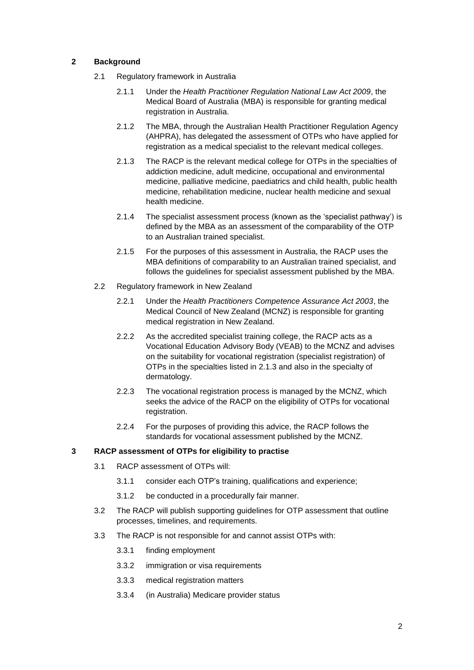#### **2 Background**

- <span id="page-1-0"></span>2.1 Regulatory framework in Australia
	- 2.1.1 Under the *Health Practitioner Regulation National Law Act 2009*, the Medical Board of Australia (MBA) is responsible for granting medical registration in Australia.
	- 2.1.2 The MBA, through the Australian Health Practitioner Regulation Agency (AHPRA), has delegated the assessment of OTPs who have applied for registration as a medical specialist to the relevant medical colleges.
	- 2.1.3 The RACP is the relevant medical college for OTPs in the specialties of addiction medicine, adult medicine, occupational and environmental medicine, palliative medicine, paediatrics and child health, public health medicine, rehabilitation medicine, nuclear health medicine and sexual health medicine.
	- 2.1.4 The specialist assessment process (known as the 'specialist pathway') is defined by the MBA as an assessment of the comparability of the OTP to an Australian trained specialist.
	- 2.1.5 For the purposes of this assessment in Australia, the RACP uses the MBA definitions of comparability to an Australian trained specialist, and follows the guidelines for specialist assessment published by the MBA.
- 2.2 Regulatory framework in New Zealand
	- 2.2.1 Under the *Health Practitioners Competence Assurance Act 2003*, the Medical Council of New Zealand (MCNZ) is responsible for granting medical registration in New Zealand.
	- 2.2.2 As the accredited specialist training college, the RACP acts as a Vocational Education Advisory Body (VEAB) to the MCNZ and advises on the suitability for vocational registration (specialist registration) of OTPs in the specialties listed in [2.1.3](#page-1-0) and also in the specialty of dermatology.
	- 2.2.3 The vocational registration process is managed by the MCNZ, which seeks the advice of the RACP on the eligibility of OTPs for vocational registration.
	- 2.2.4 For the purposes of providing this advice, the RACP follows the standards for vocational assessment published by the MCNZ.

#### **3 RACP assessment of OTPs for eligibility to practise**

- 3.1 RACP assessment of OTPs will:
	- 3.1.1 consider each OTP's training, qualifications and experience;
	- 3.1.2 be conducted in a procedurally fair manner.
- 3.2 The RACP will publish supporting guidelines for OTP assessment that outline processes, timelines, and requirements.
- 3.3 The RACP is not responsible for and cannot assist OTPs with:
	- 3.3.1 finding employment
	- 3.3.2 immigration or visa requirements
	- 3.3.3 medical registration matters
	- 3.3.4 (in Australia) Medicare provider status